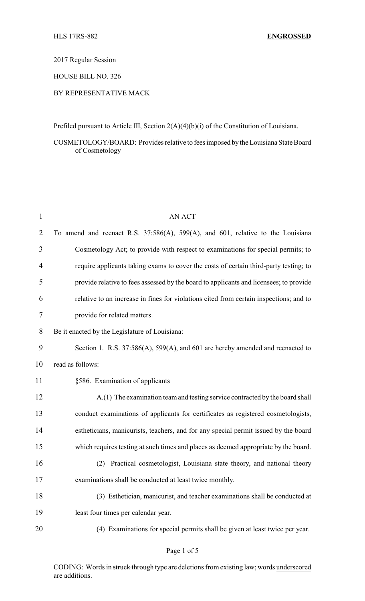2017 Regular Session

HOUSE BILL NO. 326

## BY REPRESENTATIVE MACK

Prefiled pursuant to Article III, Section 2(A)(4)(b)(i) of the Constitution of Louisiana.

COSMETOLOGY/BOARD: Provides relative to fees imposed by the Louisiana State Board of Cosmetology

| $\mathbf{1}$   | <b>AN ACT</b>                                                                          |
|----------------|----------------------------------------------------------------------------------------|
| $\overline{2}$ | To amend and reenact R.S. 37:586(A), 599(A), and 601, relative to the Louisiana        |
| 3              | Cosmetology Act; to provide with respect to examinations for special permits; to       |
| $\overline{4}$ | require applicants taking exams to cover the costs of certain third-party testing; to  |
| 5              | provide relative to fees assessed by the board to applicants and licensees; to provide |
| 6              | relative to an increase in fines for violations cited from certain inspections; and to |
| 7              | provide for related matters.                                                           |
| 8              | Be it enacted by the Legislature of Louisiana:                                         |
| 9              | Section 1. R.S. 37:586(A), 599(A), and 601 are hereby amended and reenacted to         |
| 10             | read as follows:                                                                       |
| 11             | §586. Examination of applicants                                                        |
| 12             | A.(1) The examination team and testing service contracted by the board shall           |
| 13             | conduct examinations of applicants for certificates as registered cosmetologists,      |
| 14             | estheticians, manicurists, teachers, and for any special permit issued by the board    |
| 15             | which requires testing at such times and places as deemed appropriate by the board.    |
| 16             | Practical cosmetologist, Louisiana state theory, and national theory<br>(2)            |
| 17             | examinations shall be conducted at least twice monthly.                                |
| 18             | (3) Esthetician, manicurist, and teacher examinations shall be conducted at            |
| 19             | least four times per calendar year.                                                    |
| 20             | (4) Examinations for special permits shall be given at least twice per year.           |

CODING: Words in struck through type are deletions from existing law; words underscored are additions.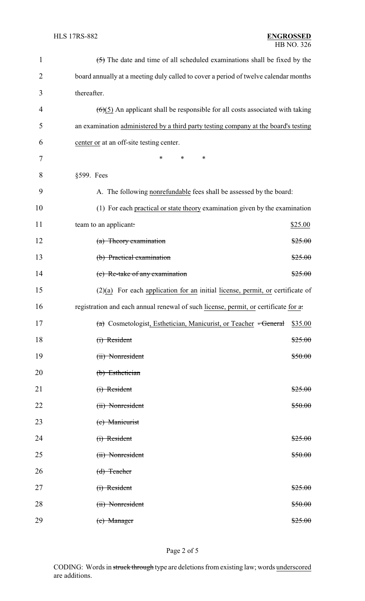| $\mathbf{1}$   | $\left(\frac{5}{5}\right)$ The date and time of all scheduled examinations shall be fixed by the |  |  |
|----------------|--------------------------------------------------------------------------------------------------|--|--|
| $\overline{2}$ | board annually at a meeting duly called to cover a period of twelve calendar months              |  |  |
| 3              | thereafter.                                                                                      |  |  |
| 4              | $(6)(5)$ An applicant shall be responsible for all costs associated with taking                  |  |  |
| 5              | an examination administered by a third party testing company at the board's testing              |  |  |
| 6              | center or at an off-site testing center.                                                         |  |  |
| 7              | *<br>∗<br>*                                                                                      |  |  |
| 8              | §599. Fees                                                                                       |  |  |
| 9              | A. The following nonrefundable fees shall be assessed by the board:                              |  |  |
| 10             | (1) For each practical or state theory examination given by the examination                      |  |  |
| 11             | team to an applicant:<br>\$25.00                                                                 |  |  |
| 12             | $(a)$ Theory examination<br>\$25.00                                                              |  |  |
| 13             | (b) Practical examination<br>\$25.00                                                             |  |  |
| 14             | (c) Re-take of any examination<br>\$25.00                                                        |  |  |
| 15             | $(2)(a)$ For each application for an initial license, permit, or certificate of                  |  |  |
| 16             | registration and each annual renewal of such license, permit, or certificate for a.              |  |  |
| 17             | (a) Cosmetologist, Esthetician, Manicurist, or Teacher <del>- General</del> \$35.00              |  |  |
| 18             | $(i)$ Resident<br>\$25.00                                                                        |  |  |
| 19             | (ii) Nonresident<br>\$50.00                                                                      |  |  |
| 20             | (b) Esthetician                                                                                  |  |  |
| 21             | (i) Resident<br>\$25.00                                                                          |  |  |
| 22             | (ii) Nonresident<br>\$50.00                                                                      |  |  |
| 23             | (c) Manicurist                                                                                   |  |  |
| 24             | (i) Resident<br>\$25.00                                                                          |  |  |
| 25             | (ii) Nonresident<br>\$50.00                                                                      |  |  |
| 26             | $(d)$ Teacher                                                                                    |  |  |
| 27             | (i) Resident<br>\$25.00                                                                          |  |  |
| 28             | (ii) Nonresident<br>\$50.00                                                                      |  |  |
| 29             | $(e)$ Manager<br>\$25.00                                                                         |  |  |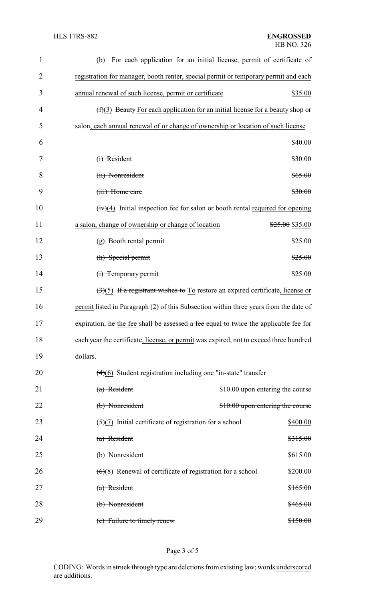| $\mathbf{1}$   | For each application for an initial license, permit of certificate of<br>(b)                       |                                  |
|----------------|----------------------------------------------------------------------------------------------------|----------------------------------|
| $\overline{2}$ | registration for manager, booth renter, special permit or temporary permit and each                |                                  |
| 3              | annual renewal of such license, permit or certificate                                              | \$35.00                          |
| 4              | $(f)(3)$ Beauty For each application for an initial license for a beauty shop or                   |                                  |
| 5              | salon, each annual renewal of or change of ownership or location of such license                   |                                  |
| 6              |                                                                                                    | \$40.00                          |
| 7              | $(i)$ Resident                                                                                     | \$30.00                          |
| 8              | (ii) Nonresident                                                                                   | \$65.00                          |
| 9              | (iii) Home care                                                                                    | \$30.00                          |
| 10             | $(iv)(4)$ Initial inspection fee for salon or booth rental required for opening                    |                                  |
| 11             | a salon, change of ownership or change of location                                                 | \$25.00 \$35.00                  |
| 12             | $(g)$ Booth rental permit                                                                          | \$25.00                          |
| 13             | (h) Special permit                                                                                 | \$25.00                          |
| 14             | (i) Temporary permit                                                                               | \$25.00                          |
| 15             | $\left(\frac{3}{5}\right)$ If a registrant wishes to To restore an expired certificate, license or |                                  |
| 16             | permit listed in Paragraph (2) of this Subsection within three years from the date of              |                                  |
| 17             | expiration, he the fee shall be assessed a fee equal to twice the applicable fee for               |                                  |
| 18             | each year the certificate, license, or permit was expired, not to exceed three hundred             |                                  |
| 19             | dollars.                                                                                           |                                  |
| 20             | $(4)(6)$ Student registration including one "in-state" transfer                                    |                                  |
| 21             | $(a)$ Resident                                                                                     | \$10.00 upon entering the course |
| 22             | (b) Nonresident                                                                                    | \$10.00 upon entering the course |
| 23             | $\left(\frac{5}{7}\right)$ Initial certificate of registration for a school                        | \$400.00                         |
| 24             | $(a)$ Resident                                                                                     | \$315.00                         |
| 25             | (b) Nonresident                                                                                    | \$615.00                         |
| 26             | $(6)(8)$ Renewal of certificate of registration for a school                                       | \$200.00                         |
| 27             | $(a)$ Resident                                                                                     | <del>\$165.00</del>              |
| 28             | (b) Nonresident                                                                                    | \$465.00                         |
| 29             | (c) Failure to timely renew                                                                        | \$150.00                         |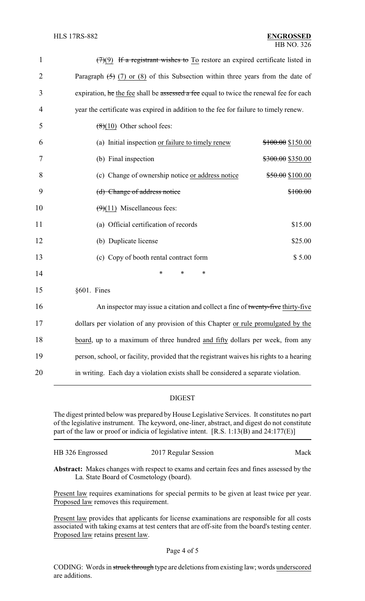| $\mathbf{1}$   | $(7)(9)$ If a registrant wishes to To restore an expired certificate listed in           |                   |
|----------------|------------------------------------------------------------------------------------------|-------------------|
| $\overline{2}$ | Paragraph $(5)$ (7) or (8) of this Subsection within three years from the date of        |                   |
| 3              | expiration, he the fee shall be assessed a fee equal to twice the renewal fee for each   |                   |
| 4              | year the certificate was expired in addition to the fee for failure to timely renew.     |                   |
| 5              | $(8)(10)$ Other school fees:                                                             |                   |
| 6              | (a) Initial inspection or failure to timely renew                                        | \$100.00 \$150.00 |
| 7              | (b) Final inspection                                                                     | \$300.00 \$350.00 |
| 8              | (c) Change of ownership notice or address notice                                         | \$50.00 \$100.00  |
| 9              | (d) Change of address notice                                                             | \$100.00          |
| 10             | $(9)(11)$ Miscellaneous fees:                                                            |                   |
| 11             | (a) Official certification of records                                                    | \$15.00           |
| 12             | (b) Duplicate license                                                                    | \$25.00           |
| 13             | (c) Copy of booth rental contract form                                                   | \$5.00            |
| 14             | *<br>$\ast$<br>*                                                                         |                   |
| 15             | §601. Fines                                                                              |                   |
| 16             | An inspector may issue a citation and collect a fine of twenty-five thirty-five          |                   |
| 17             | dollars per violation of any provision of this Chapter or rule promulgated by the        |                   |
| 18             | board, up to a maximum of three hundred and fifty dollars per week, from any             |                   |
| 19             | person, school, or facility, provided that the registrant waives his rights to a hearing |                   |

20 in writing. Each day a violation exists shall be considered a separate violation.

## DIGEST

The digest printed below was prepared by House Legislative Services. It constitutes no part of the legislative instrument. The keyword, one-liner, abstract, and digest do not constitute part of the law or proof or indicia of legislative intent. [R.S. 1:13(B) and 24:177(E)]

| HB 326 Engrossed | 2017 Regular Session | Mack |
|------------------|----------------------|------|
|                  |                      |      |

**Abstract:** Makes changes with respect to exams and certain fees and fines assessed by the La. State Board of Cosmetology (board).

Present law requires examinations for special permits to be given at least twice per year. Proposed law removes this requirement.

Present law provides that applicants for license examinations are responsible for all costs associated with taking exams at test centers that are off-site from the board's testing center. Proposed law retains present law.

CODING: Words in struck through type are deletions from existing law; words underscored are additions.